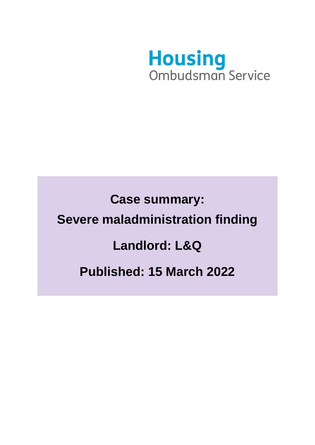

**Case summary: Severe maladministration finding Landlord: L&Q Published: 15 March 2022**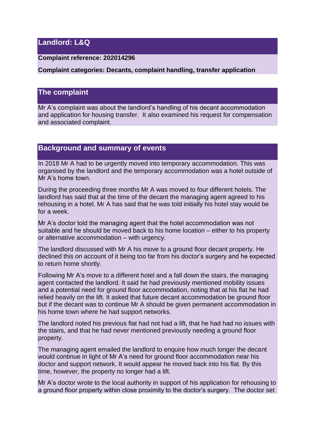## **Landlord: L&Q**

#### **Complaint reference: 202014296**

**Complaint categories: Decants, complaint handling, transfer application**

### **The complaint**

Mr A's complaint was about the landlord's handling of his decant accommodation and application for housing transfer. It also examined his request for compensation and associated complaint.

# **Background and summary of events**

In 2018 Mr A had to be urgently moved into temporary accommodation. This was organised by the landlord and the temporary accommodation was a hotel outside of Mr A's home town.

During the proceeding three months Mr A was moved to four different hotels. The landlord has said that at the time of the decant the managing agent agreed to his rehousing in a hotel. Mr A has said that he was told initially his hotel stay would be for a week.

Mr A's doctor told the managing agent that the hotel accommodation was not suitable and he should be moved back to his home location – either to his property or alternative accommodation – with urgency.

The landlord discussed with Mr A his move to a ground floor decant property. He declined this on account of it being too far from his doctor's surgery and he expected to return home shortly.

Following Mr A's move to a different hotel and a fall down the stairs, the managing agent contacted the landlord. It said he had previously mentioned mobility issues and a potential need for ground floor accommodation, noting that at his flat he had relied heavily on the lift. It asked that future decant accommodation be ground floor but if the decant was to continue Mr A should be given permanent accommodation in his home town where he had support networks.

The landlord noted his previous flat had not had a lift, that he had had no issues with the stairs, and that he had never mentioned previously needing a ground floor property.

The managing agent emailed the landlord to enquire how much longer the decant would continue in light of Mr A's need for ground floor accommodation near his doctor and support network. It would appear he moved back into his flat. By this time, however, the property no longer had a lift.

Mr A's doctor wrote to the local authority in support of his application for rehousing to a ground floor property within close proximity to the doctor's surgery. The doctor set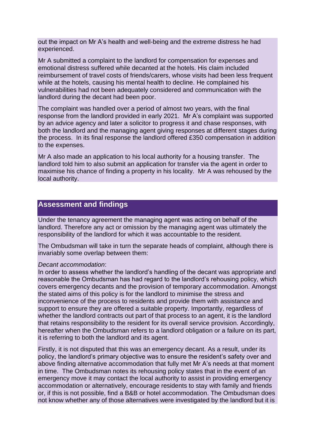out the impact on Mr A's health and well-being and the extreme distress he had experienced.

Mr A submitted a complaint to the landlord for compensation for expenses and emotional distress suffered while decanted at the hotels. His claim included reimbursement of travel costs of friends/carers, whose visits had been less frequent while at the hotels, causing his mental health to decline. He complained his vulnerabilities had not been adequately considered and communication with the landlord during the decant had been poor.

The complaint was handled over a period of almost two years, with the final response from the landlord provided in early 2021. Mr A's complaint was supported by an advice agency and later a solicitor to progress it and chase responses, with both the landlord and the managing agent giving responses at different stages during the process. In its final response the landlord offered £350 compensation in addition to the expenses.

Mr A also made an application to his local authority for a housing transfer. The landlord told him to also submit an application for transfer via the agent in order to maximise his chance of finding a property in his locality. Mr A was rehoused by the local authority.

### **Assessment and findings**

Under the tenancy agreement the managing agent was acting on behalf of the landlord. Therefore any act or omission by the managing agent was ultimately the responsibility of the landlord for which it was accountable to the resident.

The Ombudsman will take in turn the separate heads of complaint, although there is invariably some overlap between them:

#### *Decant accommodation*:

In order to assess whether the landlord's handling of the decant was appropriate and reasonable the Ombudsman has had regard to the landlord's rehousing policy, which covers emergency decants and the provision of temporary accommodation. Amongst the stated aims of this policy is for the landlord to minimise the stress and inconvenience of the process to residents and provide them with assistance and support to ensure they are offered a suitable property. Importantly, regardless of whether the landlord contracts out part of that process to an agent, it is the landlord that retains responsibility to the resident for its overall service provision. Accordingly, hereafter when the Ombudsman refers to a landlord obligation or a failure on its part, it is referring to both the landlord and its agent.

Firstly, it is not disputed that this was an emergency decant. As a result, under its policy, the landlord's primary objective was to ensure the resident's safety over and above finding alternative accommodation that fully met Mr A's needs at that moment in time. The Ombudsman notes its rehousing policy states that in the event of an emergency move it may contact the local authority to assist in providing emergency accommodation or alternatively, encourage residents to stay with family and friends or, if this is not possible, find a B&B or hotel accommodation. The Ombudsman does not know whether any of those alternatives were investigated by the landlord but it is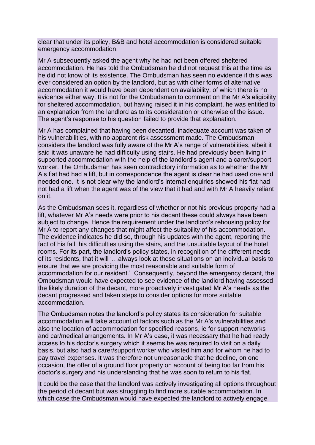clear that under its policy, B&B and hotel accommodation is considered suitable emergency accommodation.

Mr A subsequently asked the agent why he had not been offered sheltered accommodation. He has told the Ombudsman he did not request this at the time as he did not know of its existence. The Ombudsman has seen no evidence if this was ever considered an option by the landlord, but as with other forms of alternative accommodation it would have been dependent on availability, of which there is no evidence either way. It is not for the Ombudsman to comment on the Mr A's eligibility for sheltered accommodation, but having raised it in his complaint, he was entitled to an explanation from the landlord as to its consideration or otherwise of the issue. The agent's response to his question failed to provide that explanation.

Mr A has complained that having been decanted, inadequate account was taken of his vulnerabilities, with no apparent risk assessment made. The Ombudsman considers the landlord was fully aware of the Mr A's range of vulnerabilities, albeit it said it was unaware he had difficulty using stairs. He had previously been living in supported accommodation with the help of the landlord's agent and a carer/support worker. The Ombudsman has seen contradictory information as to whether the Mr A's flat had had a lift, but in correspondence the agent is clear he had used one and needed one. It is not clear why the landlord's internal enquiries showed his flat had not had a lift when the agent was of the view that it had and with Mr A heavily reliant on it.

As the Ombudsman sees it, regardless of whether or not his previous property had a lift, whatever Mr A's needs were prior to his decant these could always have been subject to change. Hence the requirement under the landlord's rehousing policy for Mr A to report any changes that might affect the suitability of his accommodation. The evidence indicates he did so, through his updates with the agent, reporting the fact of his fall, his difficulties using the stairs, and the unsuitable layout of the hotel rooms. For its part, the landlord's policy states, in recognition of the different needs of its residents, that it will '…always look at these situations on an individual basis to ensure that we are providing the most reasonable and suitable form of accommodation for our resident.' Consequently, beyond the emergency decant, the Ombudsman would have expected to see evidence of the landlord having assessed the likely duration of the decant, more proactively investigated Mr A's needs as the decant progressed and taken steps to consider options for more suitable accommodation.

The Ombudsman notes the landlord's policy states its consideration for suitable accommodation will take account of factors such as the Mr A's vulnerabilities and also the location of accommodation for specified reasons, ie for support networks and car/medical arrangements. In Mr A's case, it was necessary that he had ready access to his doctor's surgery which it seems he was required to visit on a daily basis, but also had a carer/support worker who visited him and for whom he had to pay travel expenses. It was therefore not unreasonable that he decline, on one occasion, the offer of a ground floor property on account of being too far from his doctor's surgery and his understanding that he was soon to return to his flat.

It could be the case that the landlord was actively investigating all options throughout the period of decant but was struggling to find more suitable accommodation. In which case the Ombudsman would have expected the landlord to actively engage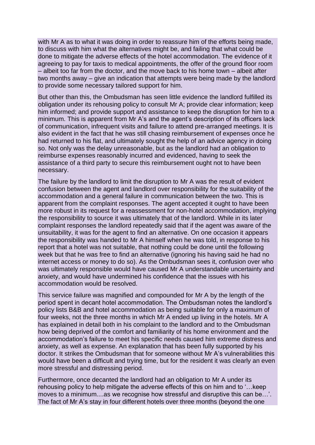with Mr A as to what it was doing in order to reassure him of the efforts being made, to discuss with him what the alternatives might be, and failing that what could be done to mitigate the adverse effects of the hotel accommodation. The evidence of it agreeing to pay for taxis to medical appointments, the offer of the ground floor room – albeit too far from the doctor, and the move back to his home town – albeit after two months away – give an indication that attempts were being made by the landlord to provide some necessary tailored support for him.

But other than this, the Ombudsman has seen little evidence the landlord fulfilled its obligation under its rehousing policy to consult Mr A; provide clear information; keep him informed; and provide support and assistance to keep the disruption for him to a minimum. This is apparent from Mr A's and the agent's description of its officers lack of communication, infrequent visits and failure to attend pre-arranged meetings. It is also evident in the fact that he was still chasing reimbursement of expenses once he had returned to his flat, and ultimately sought the help of an advice agency in doing so. Not only was the delay unreasonable, but as the landlord had an obligation to reimburse expenses reasonably incurred and evidenced, having to seek the assistance of a third party to secure this reimbursement ought not to have been necessary.

The failure by the landlord to limit the disruption to Mr A was the result of evident confusion between the agent and landlord over responsibility for the suitability of the accommodation and a general failure in communication between the two. This is apparent from the complaint responses. The agent accepted it ought to have been more robust in its request for a reassessment for non-hotel accommodation, implying the responsibility to source it was ultimately that of the landlord. While in its later complaint responses the landlord repeatedly said that if the agent was aware of the unsuitability, it was for the agent to find an alternative. On one occasion it appears the responsibility was handed to Mr A himself when he was told, in response to his report that a hotel was not suitable, that nothing could be done until the following week but that he was free to find an alternative (ignoring his having said he had no internet access or money to do so). As the Ombudsman sees it, confusion over who was ultimately responsible would have caused Mr A understandable uncertainty and anxiety, and would have undermined his confidence that the issues with his accommodation would be resolved.

This service failure was magnified and compounded for Mr A by the length of the period spent in decant hotel accommodation. The Ombudsman notes the landlord's policy lists B&B and hotel accommodation as being suitable for only a maximum of four weeks, not the three months in which Mr A ended up living in the hotels. Mr A has explained in detail both in his complaint to the landlord and to the Ombudsman how being deprived of the comfort and familiarity of his home environment and the accommodation's failure to meet his specific needs caused him extreme distress and anxiety, as well as expense. An explanation that has been fully supported by his doctor. It strikes the Ombudsman that for someone without Mr A's vulnerabilities this would have been a difficult and trying time, but for the resident it was clearly an even more stressful and distressing period.

Furthermore, once decanted the landlord had an obligation to Mr A under its rehousing policy to help mitigate the adverse effects of this on him and to '…keep moves to a minimum....as we recognise how stressful and disruptive this can be…'. The fact of Mr A's stay in four different hotels over three months (beyond the one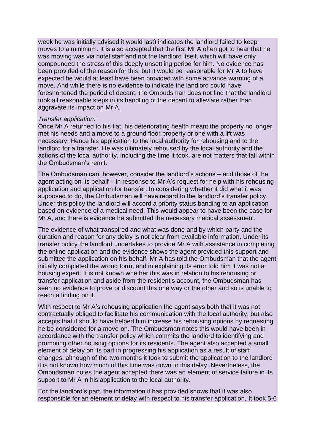week he was initially advised it would last) indicates the landlord failed to keep moves to a minimum. It is also accepted that the first Mr A often got to hear that he was moving was via hotel staff and not the landlord itself, which will have only compounded the stress of this deeply unsettling period for him. No evidence has been provided of the reason for this, but it would be reasonable for Mr A to have expected he would at least have been provided with some advance warning of a move. And while there is no evidence to indicate the landlord could have foreshortened the period of decant, the Ombudsman does not find that the landlord took all reasonable steps in its handling of the decant to alleviate rather than aggravate its impact on Mr A.

#### *Transfer application:*

Once Mr A returned to his flat, his deteriorating health meant the property no longer met his needs and a move to a ground floor property or one with a lift was necessary. Hence his application to the local authority for rehousing and to the landlord for a transfer. He was ultimately rehoused by the local authority and the actions of the local authority, including the time it took, are not matters that fall within the Ombudsman's remit.

The Ombudsman can, however, consider the landlord's actions – and those of the agent acting on its behalf – in response to Mr A's request for help with his rehousing application and application for transfer. In considering whether it did what it was supposed to do, the Ombudsman will have regard to the landlord's transfer policy. Under this policy the landlord will accord a priority status banding to an application based on evidence of a medical need. This would appear to have been the case for Mr A, and there is evidence he submitted the necessary medical assessment.

The evidence of what transpired and what was done and by which party and the duration and reason for any delay is not clear from available information. Under its transfer policy the landlord undertakes to provide Mr A with assistance in completing the online application and the evidence shows the agent provided this support and submitted the application on his behalf. Mr A has told the Ombudsman that the agent initially completed the wrong form, and in explaining its error told him it was not a housing expert. It is not known whether this was in relation to his rehousing or transfer application and aside from the resident's account, the Ombudsman has seen no evidence to prove or discount this one way or the other and so is unable to reach a finding on it.

With respect to Mr A's rehousing application the agent says both that it was not contractually obliged to facilitate his communication with the local authority, but also accepts that it should have helped him increase his rehousing options by requesting he be considered for a move-on. The Ombudsman notes this would have been in accordance with the transfer policy which commits the landlord to identifying and promoting other housing options for its residents. The agent also accepted a small element of delay on its part in progressing his application as a result of staff changes, although of the two months it took to submit the application to the landlord it is not known how much of this time was down to this delay. Nevertheless, the Ombudsman notes the agent accepted there was an element of service failure in its support to Mr A in his application to the local authority.

For the landlord's part, the information it has provided shows that it was also responsible for an element of delay with respect to his transfer application. It took 5-6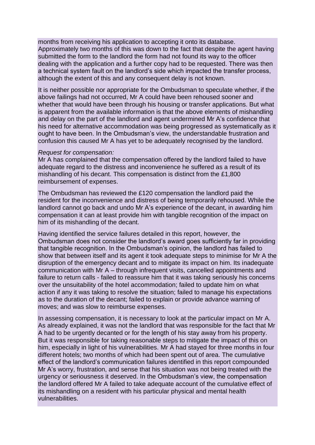months from receiving his application to accepting it onto its database. Approximately two months of this was down to the fact that despite the agent having submitted the form to the landlord the form had not found its way to the officer dealing with the application and a further copy had to be requested. There was then a technical system fault on the landlord's side which impacted the transfer process, although the extent of this and any consequent delay is not known.

It is neither possible nor appropriate for the Ombudsman to speculate whether, if the above failings had not occurred, Mr A could have been rehoused sooner and whether that would have been through his housing or transfer applications. But what is apparent from the available information is that the above elements of mishandling and delay on the part of the landlord and agent undermined Mr A's confidence that his need for alternative accommodation was being progressed as systematically as it ought to have been. In the Ombudsman's view, the understandable frustration and confusion this caused Mr A has yet to be adequately recognised by the landlord.

#### *Request for compensation:*

Mr A has complained that the compensation offered by the landlord failed to have adequate regard to the distress and inconvenience he suffered as a result of its mishandling of his decant. This compensation is distinct from the £1,800 reimbursement of expenses.

The Ombudsman has reviewed the £120 compensation the landlord paid the resident for the inconvenience and distress of being temporarily rehoused. While the landlord cannot go back and undo Mr A's experience of the decant, in awarding him compensation it can at least provide him with tangible recognition of the impact on him of its mishandling of the decant.

Having identified the service failures detailed in this report, however, the Ombudsman does not consider the landlord's award goes sufficiently far in providing that tangible recognition. In the Ombudsman's opinion, the landlord has failed to show that between itself and its agent it took adequate steps to minimise for Mr A the disruption of the emergency decant and to mitigate its impact on him. Its inadequate communication with Mr A – through infrequent visits, cancelled appointments and failure to return calls - failed to reassure him that it was taking seriously his concerns over the unsuitability of the hotel accommodation; failed to update him on what action if any it was taking to resolve the situation; failed to manage his expectations as to the duration of the decant; failed to explain or provide advance warning of moves; and was slow to reimburse expenses.

In assessing compensation, it is necessary to look at the particular impact on Mr A. As already explained, it was not the landlord that was responsible for the fact that Mr A had to be urgently decanted or for the length of his stay away from his property. But it was responsible for taking reasonable steps to mitigate the impact of this on him, especially in light of his vulnerabilities. Mr A had stayed for three months in four different hotels; two months of which had been spent out of area. The cumulative effect of the landlord's communication failures identified in this report compounded Mr A's worry, frustration, and sense that his situation was not being treated with the urgency or seriousness it deserved. In the Ombudsman's view, the compensation the landlord offered Mr A failed to take adequate account of the cumulative effect of its mishandling on a resident with his particular physical and mental health vulnerabilities.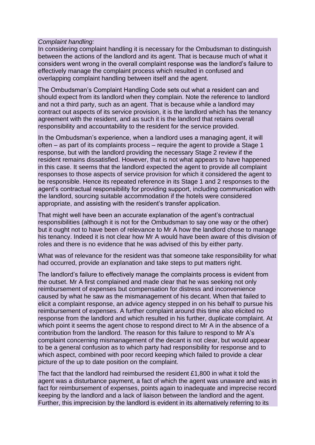#### *Complaint handling:*

In considering complaint handling it is necessary for the Ombudsman to distinguish between the actions of the landlord and its agent. That is because much of what it considers went wrong in the overall complaint response was the landlord's failure to effectively manage the complaint process which resulted in confused and overlapping complaint handling between itself and the agent.

The Ombudsman's Complaint Handling Code sets out what a resident can and should expect from its landlord when they complain. Note the reference to landlord and not a third party, such as an agent. That is because while a landlord may contract out aspects of its service provision, it is the landlord which has the tenancy agreement with the resident, and as such it is the landlord that retains overall responsibility and accountability to the resident for the service provided.

In the Ombudsman's experience, when a landlord uses a managing agent, it will often – as part of its complaints process – require the agent to provide a Stage 1 response, but with the landlord providing the necessary Stage 2 review if the resident remains dissatisfied. However, that is not what appears to have happened in this case. It seems that the landlord expected the agent to provide all complaint responses to those aspects of service provision for which it considered the agent to be responsible. Hence its repeated reference in its Stage 1 and 2 responses to the agent's contractual responsibility for providing support, including communication with the landlord, sourcing suitable accommodation if the hotels were considered appropriate, and assisting with the resident's transfer application.

That might well have been an accurate explanation of the agent's contractual responsibilities (although it is not for the Ombudsman to say one way or the other) but it ought not to have been of relevance to Mr A how the landlord chose to manage his tenancy. Indeed it is not clear how Mr A would have been aware of this division of roles and there is no evidence that he was advised of this by either party.

What was of relevance for the resident was that someone take responsibility for what had occurred, provide an explanation and take steps to put matters right.

The landlord's failure to effectively manage the complaints process is evident from the outset. Mr A first complained and made clear that he was seeking not only reimbursement of expenses but compensation for distress and inconvenience caused by what he saw as the mismanagement of his decant. When that failed to elicit a complaint response, an advice agency stepped in on his behalf to pursue his reimbursement of expenses. A further complaint around this time also elicited no response from the landlord and which resulted in his further, duplicate complaint. At which point it seems the agent chose to respond direct to Mr A in the absence of a contribution from the landlord. The reason for this failure to respond to Mr A's complaint concerning mismanagement of the decant is not clear, but would appear to be a general confusion as to which party had responsibility for response and to which aspect, combined with poor record keeping which failed to provide a clear picture of the up to date position on the complaint.

The fact that the landlord had reimbursed the resident £1,800 in what it told the agent was a disturbance payment, a fact of which the agent was unaware and was in fact for reimbursement of expenses, points again to inadequate and imprecise record keeping by the landlord and a lack of liaison between the landlord and the agent. Further, this imprecision by the landlord is evident in its alternatively referring to its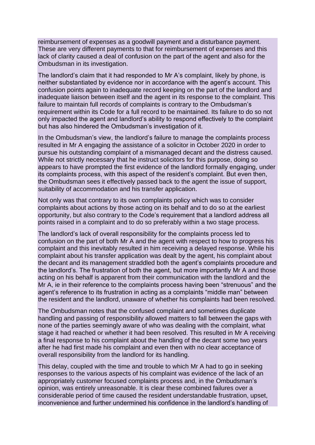reimbursement of expenses as a goodwill payment and a disturbance payment. These are very different payments to that for reimbursement of expenses and this lack of clarity caused a deal of confusion on the part of the agent and also for the Ombudsman in its investigation.

The landlord's claim that it had responded to Mr A's complaint, likely by phone, is neither substantiated by evidence nor in accordance with the agent's account. This confusion points again to inadequate record keeping on the part of the landlord and inadequate liaison between itself and the agent in its response to the complaint. This failure to maintain full records of complaints is contrary to the Ombudsman's requirement within its Code for a full record to be maintained. Its failure to do so not only impacted the agent and landlord's ability to respond effectively to the complaint but has also hindered the Ombudsman's investigation of it.

In the Ombudsman's view, the landlord's failure to manage the complaints process resulted in Mr A engaging the assistance of a solicitor in October 2020 in order to pursue his outstanding complaint of a mismanaged decant and the distress caused. While not strictly necessary that he instruct solicitors for this purpose, doing so appears to have prompted the first evidence of the landlord formally engaging, under its complaints process, with this aspect of the resident's complaint. But even then, the Ombudsman sees it effectively passed back to the agent the issue of support, suitability of accommodation and his transfer application.

Not only was that contrary to its own complaints policy which was to consider complaints about actions by those acting on its behalf and to do so at the earliest opportunity, but also contrary to the Code's requirement that a landlord address all points raised in a complaint and to do so preferably within a two stage process.

The landlord's lack of overall responsibility for the complaints process led to confusion on the part of both Mr A and the agent with respect to how to progress his complaint and this inevitably resulted in him receiving a delayed response. While his complaint about his transfer application was dealt by the agent, his complaint about the decant and its management straddled both the agent's complaints procedure and the landlord's. The frustration of both the agent, but more importantly Mr A and those acting on his behalf is apparent from their communication with the landlord and the Mr A, ie in their reference to the complaints process having been "strenuous" and the agent's reference to its frustration in acting as a complaints "middle man" between the resident and the landlord, unaware of whether his complaints had been resolved.

The Ombudsman notes that the confused complaint and sometimes duplicate handling and passing of responsibility allowed matters to fall between the gaps with none of the parties seemingly aware of who was dealing with the complaint, what stage it had reached or whether it had been resolved. This resulted in Mr A receiving a final response to his complaint about the handling of the decant some two years after he had first made his complaint and even then with no clear acceptance of overall responsibility from the landlord for its handling.

This delay, coupled with the time and trouble to which Mr A had to go in seeking responses to the various aspects of his complaint was evidence of the lack of an appropriately customer focused complaints process and, in the Ombudsman's opinion, was entirely unreasonable. It is clear these combined failures over a considerable period of time caused the resident understandable frustration, upset, inconvenience and further undermined his confidence in the landlord's handling of